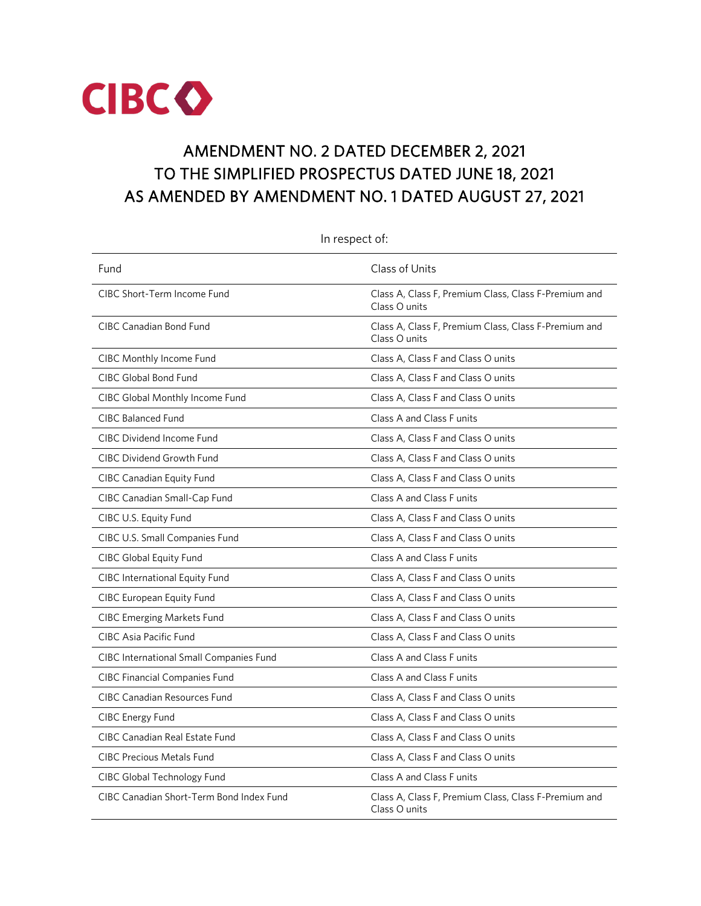

# AMENDMENT NO. 2 DATED DECEMBER 2, 2021 TO THE SIMPLIFIED PROSPECTUS DATED JUNE 18, 2021 AS AMENDED BY AMENDMENT NO. 1 DATED AUGUST 27, 2021

| In respect of:                                 |                                                                       |  |
|------------------------------------------------|-----------------------------------------------------------------------|--|
| Fund                                           | Class of Units                                                        |  |
| CIBC Short-Term Income Fund                    | Class A, Class F, Premium Class, Class F-Premium and<br>Class O units |  |
| <b>CIBC Canadian Bond Fund</b>                 | Class A, Class F, Premium Class, Class F-Premium and<br>Class O units |  |
| CIBC Monthly Income Fund                       | Class A, Class F and Class O units                                    |  |
| CIBC Global Bond Fund                          | Class A, Class F and Class O units                                    |  |
| CIBC Global Monthly Income Fund                | Class A, Class F and Class O units                                    |  |
| <b>CIBC Balanced Fund</b>                      | Class A and Class F units                                             |  |
| CIBC Dividend Income Fund                      | Class A, Class F and Class O units                                    |  |
| <b>CIBC Dividend Growth Fund</b>               | Class A, Class F and Class O units                                    |  |
| <b>CIBC Canadian Equity Fund</b>               | Class A, Class F and Class O units                                    |  |
| CIBC Canadian Small-Cap Fund                   | Class A and Class F units                                             |  |
| CIBC U.S. Equity Fund                          | Class A, Class F and Class O units                                    |  |
| CIBC U.S. Small Companies Fund                 | Class A, Class F and Class O units                                    |  |
| <b>CIBC Global Equity Fund</b>                 | Class A and Class F units                                             |  |
| CIBC International Equity Fund                 | Class A, Class F and Class O units                                    |  |
| <b>CIBC European Equity Fund</b>               | Class A, Class F and Class O units                                    |  |
| <b>CIBC Emerging Markets Fund</b>              | Class A, Class F and Class O units                                    |  |
| CIBC Asia Pacific Fund                         | Class A, Class F and Class O units                                    |  |
| <b>CIBC International Small Companies Fund</b> | Class A and Class F units                                             |  |
| <b>CIBC Financial Companies Fund</b>           | Class A and Class F units                                             |  |
| <b>CIBC Canadian Resources Fund</b>            | Class A, Class F and Class O units                                    |  |
| <b>CIBC Energy Fund</b>                        | Class A, Class F and Class O units                                    |  |
| <b>CIBC Canadian Real Estate Fund</b>          | Class A, Class F and Class O units                                    |  |
| <b>CIBC Precious Metals Fund</b>               | Class A, Class F and Class O units                                    |  |
| CIBC Global Technology Fund                    | Class A and Class F units                                             |  |
| CIBC Canadian Short-Term Bond Index Fund       | Class A, Class F, Premium Class, Class F-Premium and<br>Class O units |  |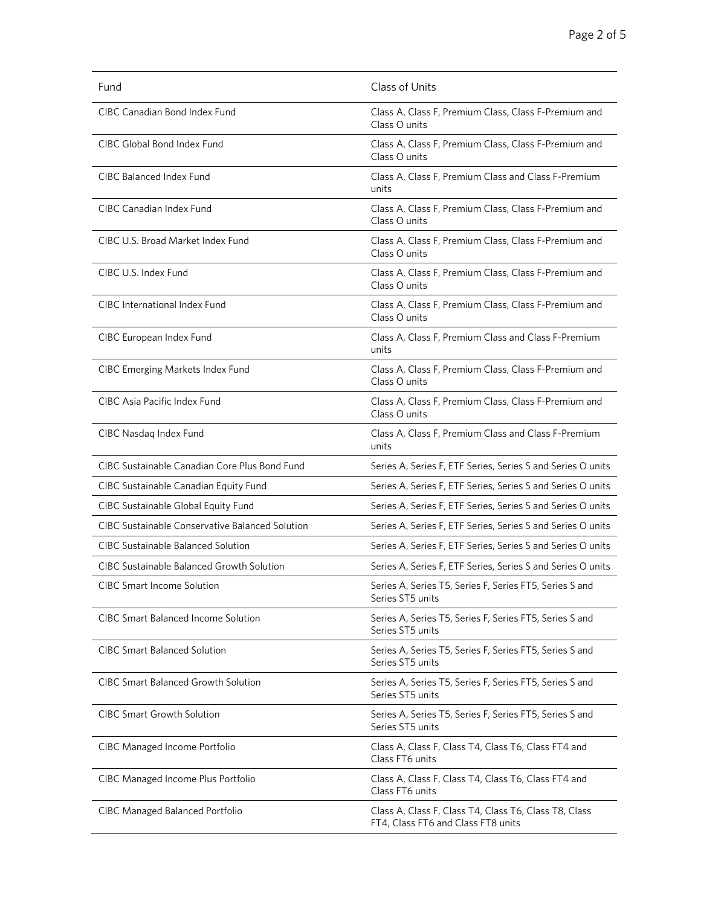| Fund                                                   | Class of Units                                                                              |
|--------------------------------------------------------|---------------------------------------------------------------------------------------------|
| CIBC Canadian Bond Index Fund                          | Class A, Class F, Premium Class, Class F-Premium and<br>Class O units                       |
| CIBC Global Bond Index Fund                            | Class A, Class F, Premium Class, Class F-Premium and<br>Class O units                       |
| <b>CIBC Balanced Index Fund</b>                        | Class A, Class F, Premium Class and Class F-Premium<br>units                                |
| CIBC Canadian Index Fund                               | Class A, Class F, Premium Class, Class F-Premium and<br>Class O units                       |
| CIBC U.S. Broad Market Index Fund                      | Class A, Class F, Premium Class, Class F-Premium and<br>Class O units                       |
| CIBC U.S. Index Fund                                   | Class A, Class F, Premium Class, Class F-Premium and<br>Class O units                       |
| CIBC International Index Fund                          | Class A, Class F, Premium Class, Class F-Premium and<br>Class O units                       |
| CIBC European Index Fund                               | Class A, Class F, Premium Class and Class F-Premium<br>units                                |
| <b>CIBC Emerging Markets Index Fund</b>                | Class A, Class F, Premium Class, Class F-Premium and<br>Class O units                       |
| CIBC Asia Pacific Index Fund                           | Class A, Class F, Premium Class, Class F-Premium and<br>Class O units                       |
| CIBC Nasdaq Index Fund                                 | Class A, Class F, Premium Class and Class F-Premium<br>units                                |
| CIBC Sustainable Canadian Core Plus Bond Fund          | Series A, Series F, ETF Series, Series S and Series O units                                 |
| CIBC Sustainable Canadian Equity Fund                  | Series A, Series F, ETF Series, Series S and Series O units                                 |
| CIBC Sustainable Global Equity Fund                    | Series A, Series F, ETF Series, Series S and Series O units                                 |
| <b>CIBC Sustainable Conservative Balanced Solution</b> | Series A, Series F, ETF Series, Series S and Series O units                                 |
| <b>CIBC Sustainable Balanced Solution</b>              | Series A, Series F, ETF Series, Series S and Series O units                                 |
| <b>CIBC Sustainable Balanced Growth Solution</b>       | Series A, Series F, ETF Series, Series S and Series O units                                 |
| <b>CIBC Smart Income Solution</b>                      | Series A, Series T5, Series F, Series FT5, Series S and<br>Series ST5 units                 |
| <b>CIBC Smart Balanced Income Solution</b>             | Series A, Series T5, Series F, Series FT5, Series S and<br>Series ST5 units                 |
| <b>CIBC Smart Balanced Solution</b>                    | Series A, Series T5, Series F, Series FT5, Series S and<br>Series ST5 units                 |
| CIBC Smart Balanced Growth Solution                    | Series A, Series T5, Series F, Series FT5, Series S and<br>Series ST5 units                 |
| <b>CIBC Smart Growth Solution</b>                      | Series A, Series T5, Series F, Series FT5, Series S and<br>Series ST5 units                 |
| <b>CIBC Managed Income Portfolio</b>                   | Class A, Class F, Class T4, Class T6, Class FT4 and<br>Class FT6 units                      |
| CIBC Managed Income Plus Portfolio                     | Class A, Class F, Class T4, Class T6, Class FT4 and<br>Class FT6 units                      |
| <b>CIBC Managed Balanced Portfolio</b>                 | Class A, Class F, Class T4, Class T6, Class T8, Class<br>FT4, Class FT6 and Class FT8 units |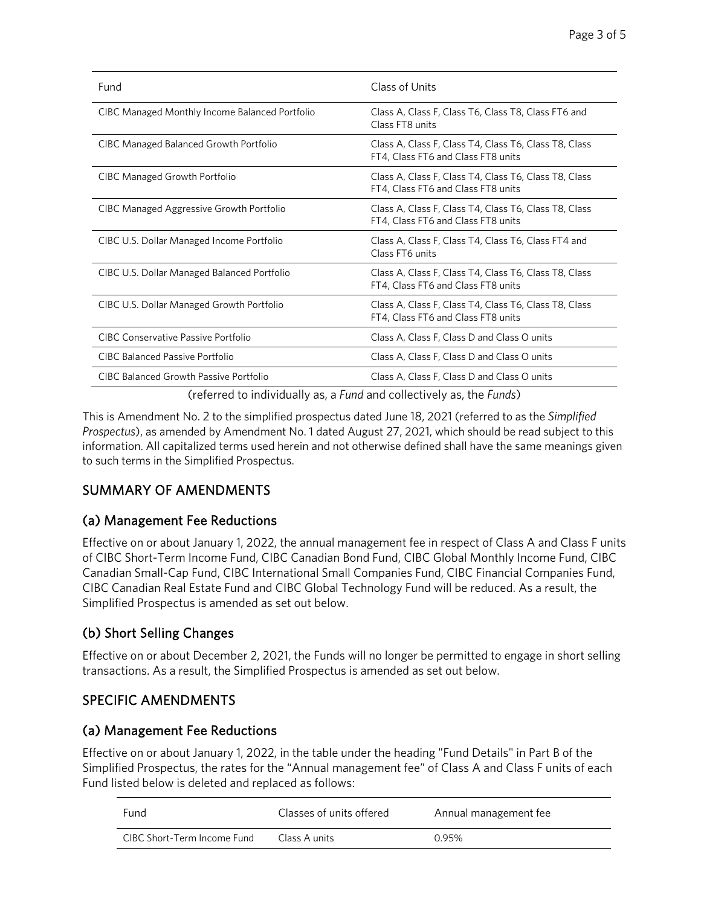| Fund                                           | Class of Units                                                                              |
|------------------------------------------------|---------------------------------------------------------------------------------------------|
| CIBC Managed Monthly Income Balanced Portfolio | Class A, Class F, Class T6, Class T8, Class FT6 and<br>Class FT8 units                      |
| <b>CIBC Managed Balanced Growth Portfolio</b>  | Class A, Class F, Class T4, Class T6, Class T8, Class<br>FT4, Class FT6 and Class FT8 units |
| <b>CIBC Managed Growth Portfolio</b>           | Class A, Class F, Class T4, Class T6, Class T8, Class<br>FT4, Class FT6 and Class FT8 units |
| CIBC Managed Aggressive Growth Portfolio       | Class A, Class F, Class T4, Class T6, Class T8, Class<br>FT4, Class FT6 and Class FT8 units |
| CIBC U.S. Dollar Managed Income Portfolio      | Class A, Class F, Class T4, Class T6, Class FT4 and<br>Class FT6 units                      |
| CIBC U.S. Dollar Managed Balanced Portfolio    | Class A, Class F, Class T4, Class T6, Class T8, Class<br>FT4, Class FT6 and Class FT8 units |
| CIBC U.S. Dollar Managed Growth Portfolio      | Class A, Class F, Class T4, Class T6, Class T8, Class<br>FT4, Class FT6 and Class FT8 units |
| <b>CIBC Conservative Passive Portfolio</b>     | Class A, Class F, Class D and Class O units                                                 |
| <b>CIBC Balanced Passive Portfolio</b>         | Class A, Class F, Class D and Class O units                                                 |
| CIBC Balanced Growth Passive Portfolio         | Class A, Class F, Class D and Class O units                                                 |

(referred to individually as, a *Fund* and collectively as, the *Funds*)

This is Amendment No. 2 to the simplified prospectus dated June 18, 2021 (referred to as the *Simplified Prospectus*), as amended by Amendment No. 1 dated August 27, 2021, which should be read subject to this information. All capitalized terms used herein and not otherwise defined shall have the same meanings given to such terms in the Simplified Prospectus.

# SUMMARY OF AMENDMENTS

# (a) Management Fee Reductions

Effective on or about January 1, 2022, the annual management fee in respect of Class A and Class F units of CIBC Short-Term Income Fund, CIBC Canadian Bond Fund, CIBC Global Monthly Income Fund, CIBC Canadian Small-Cap Fund, CIBC International Small Companies Fund, CIBC Financial Companies Fund, CIBC Canadian Real Estate Fund and CIBC Global Technology Fund will be reduced. As a result, the Simplified Prospectus is amended as set out below.

# (b) Short Selling Changes

Effective on or about December 2, 2021, the Funds will no longer be permitted to engage in short selling transactions. As a result, the Simplified Prospectus is amended as set out below.

# SPECIFIC AMENDMENTS

### (a) Management Fee Reductions

Effective on or about January 1, 2022, in the table under the heading "Fund Details" in Part B of the Simplified Prospectus, the rates for the "Annual management fee" of Class A and Class F units of each Fund listed below is deleted and replaced as follows:

| Fund                        | Classes of units offered | Annual management fee |
|-----------------------------|--------------------------|-----------------------|
| CIBC Short-Term Income Fund | Class A units            | 0.95%                 |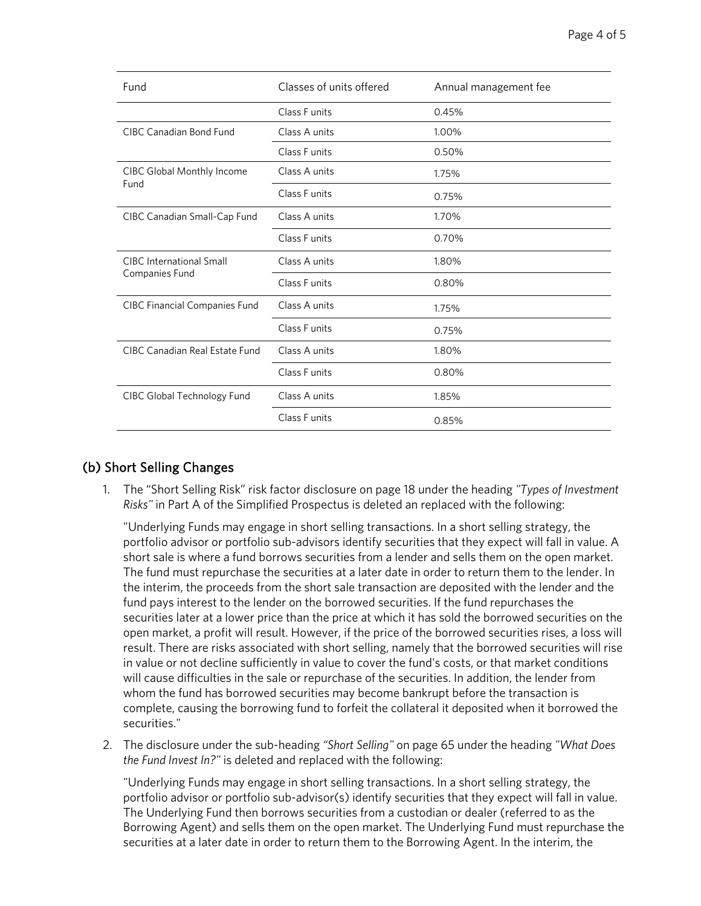| Fund                                              | Classes of units offered | Annual management fee |
|---------------------------------------------------|--------------------------|-----------------------|
|                                                   | Class F units            | 0.45%                 |
| CIBC Canadian Bond Fund                           | Class A units            | 1.00%                 |
|                                                   | Class F units            | 0.50%                 |
| <b>CIBC Global Monthly Income</b><br>Fund         | Class A units            | 1.75%                 |
|                                                   | Class Funits             | 0.75%                 |
| CIBC Canadian Small-Cap Fund                      | Class A units            | 1.70%                 |
|                                                   | Class F units            | 0.70%                 |
| <b>CIBC</b> International Small<br>Companies Fund | Class A units            | 1.80%                 |
|                                                   | Class F units            | 0.80%                 |
| <b>CIBC Financial Companies Fund</b>              | Class A units            | 1.75%                 |
|                                                   | Class F units            | 0.75%                 |
| CIBC Canadian Real Estate Fund                    | Class A units            | 1.80%                 |
|                                                   | Class F units            | 0.80%                 |
| CIBC Global Technology Fund                       | Class A units            | 1.85%                 |
|                                                   | Class F units            | 0.85%                 |

### (b) Short Selling Changes

1. The "Short Selling Risk" risk factor disclosure on page 18 under the heading *"Types of Investment Risks"* in Part A of the Simplified Prospectus is deleted an replaced with the following:

"Underlying Funds may engage in short selling transactions. In a short selling strategy, the portfolio advisor or portfolio sub-advisors identify securities that they expect will fall in value. A short sale is where a fund borrows securities from a lender and sells them on the open market. The fund must repurchase the securities at a later date in order to return them to the lender. In the interim, the proceeds from the short sale transaction are deposited with the lender and the fund pays interest to the lender on the borrowed securities. If the fund repurchases the securities later at a lower price than the price at which it has sold the borrowed securities on the open market, a profit will result. However, if the price of the borrowed securities rises, a loss will result. There are risks associated with short selling, namely that the borrowed securities will rise in value or not decline sufficiently in value to cover the fund's costs, or that market conditions will cause difficulties in the sale or repurchase of the securities. In addition, the lender from whom the fund has borrowed securities may become bankrupt before the transaction is complete, causing the borrowing fund to forfeit the collateral it deposited when it borrowed the securities."

2. The disclosure under the sub-heading *"Short Selling"* on page 65 under the heading *"What Does the Fund Invest In?"* is deleted and replaced with the following:

"Underlying Funds may engage in short selling transactions. In a short selling strategy, the portfolio advisor or portfolio sub-advisor(s) identify securities that they expect will fall in value. The Underlying Fund then borrows securities from a custodian or dealer (referred to as the Borrowing Agent) and sells them on the open market. The Underlying Fund must repurchase the securities at a later date in order to return them to the Borrowing Agent. In the interim, the